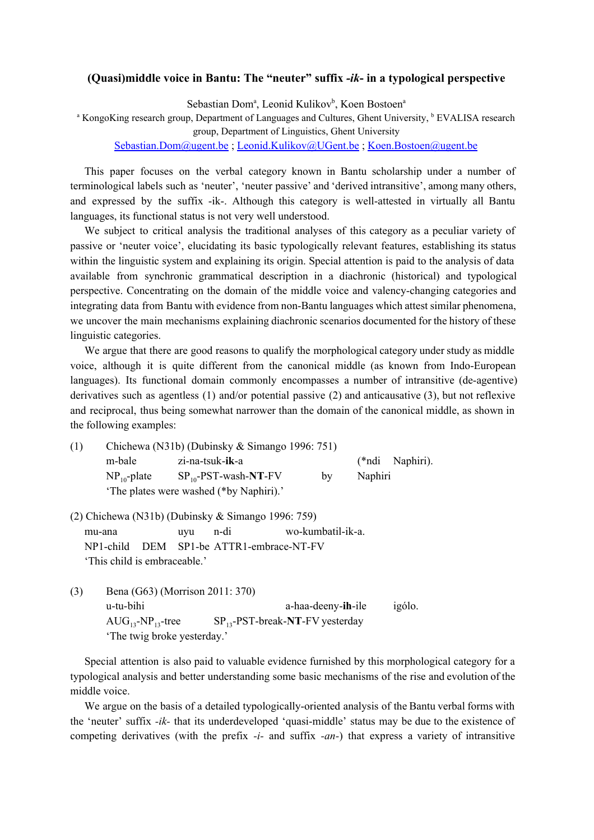## **(Quasi)middle voice in Bantu: The "neuter" suffix**  *ik* **in a typological perspective**

Sebastian Dom<sup>a</sup>, Leonid Kulikov<sup>b</sup>, Koen Bostoen<sup>a</sup>

<sup>a</sup> KongoKing research group, Department of Languages and Cultures, Ghent University, <sup>b</sup> EVALISA research

group, Department of Linguistics, Ghent University

[Sebastian.Dom@ugent.be](mailto:Sebastian.Dom@ugent.be) ; [Leonid.Kulikov@UGent.be](mailto:Leonid.Kulikov@UGent.be) ; [Koen.Bostoen@ugent.be](mailto:Koen.Bostoen@ugent.be)

This paper focuses on the verbal category known in Bantu scholarship under a number of terminological labels such as 'neuter', 'neuter passive' and 'derived intransitive', among many others, and expressed by the suffix -ik-. Although this category is well-attested in virtually all Bantu languages, its functional status is not very well understood.

We subject to critical analysis the traditional analyses of this category as a peculiar variety of passive or 'neuter voice', elucidating its basic typologically relevant features, establishing its status within the linguistic system and explaining its origin. Special attention is paid to the analysis of data available from synchronic grammatical description in a diachronic (historical) and typological perspective. Concentrating on the domain of the middle voice and valencychanging categories and integrating data from Bantu with evidence from non-Bantu languages which attest similar phenomena, we uncover the main mechanisms explaining diachronic scenarios documented for the history of these linguistic categories.

We argue that there are good reasons to qualify the morphological category under study as middle voice, although it is quite different from the canonical middle (as known from Indo-European languages). Its functional domain commonly encompasses a number of intransitive (de-agentive) derivatives such as agentless (1) and/or potential passive (2) and anticausative (3), but not reflexive and reciprocal, thus being somewhat narrower than the domain of the canonical middle, as shown in the following examples:

| (1) | Chichewa (N31b) (Dubinsky & Simango 1996: 751) |                           |    |         |                 |
|-----|------------------------------------------------|---------------------------|----|---------|-----------------|
|     | m-bale                                         | zi-na-tsuk- <b>ik</b> -a  |    |         | (*ndi Naphiri). |
|     | $NP_{10}$ -plate                               | $SP_{10}$ -PST-wash-NT-FV | bv | Naphiri |                 |
|     | 'The plates were washed (*by Naphiri).'        |                           |    |         |                 |

(2) Chichewa (N31b) (Dubinsky & Simango 1996: 759) mu-ana uyu n-di wo-kumbatil-ik-a. NP1-child DEM SP1-be ATTR1-embrace-NT-FV 'This child is embraceable.'

(3) Bena (G63) (Morrison 2011: 370) u-tu-bihi a-haa-deeny-ih-ile igólo.<br>AUG<sub>13</sub>-NP<sub>13</sub>-tree SP<sub>13</sub>-PST-break-NT-FV yesterday SP<sub>13</sub>-PST-break-NT-FV yesterday 'The twig broke yesterday.'

Special attention is also paid to valuable evidence furnished by this morphological category for a typological analysis and better understanding some basic mechanisms of the rise and evolution of the middle voice.

We argue on the basis of a detailed typologically-oriented analysis of the Bantu verbal forms with the 'neuter' suffix *-ik*- that its underdeveloped 'quasi-middle' status may be due to the existence of competing derivatives (with the prefix *-i-* and suffix *-an-*) that express a variety of intransitive